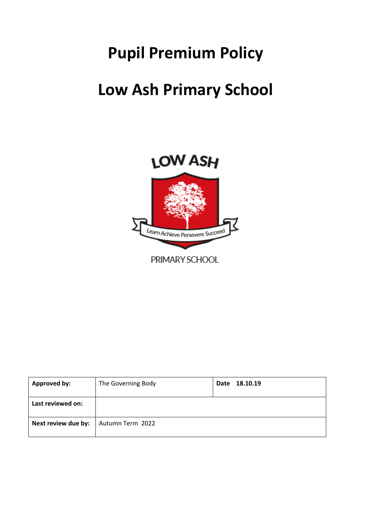# **Pupil Premium Policy**

## **Low Ash Primary School**



| <b>Approved by:</b> | The Governing Body | Date 18.10.19 |
|---------------------|--------------------|---------------|
| Last reviewed on:   |                    |               |
| Next review due by: | Autumn Term 2022   |               |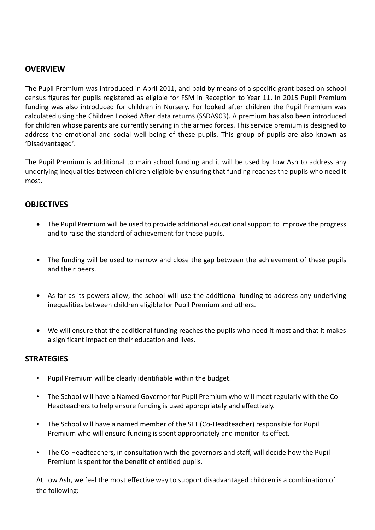### **OVERVIEW**

The Pupil Premium was introduced in April 2011, and paid by means of a specific grant based on school census figures for pupils registered as eligible for FSM in Reception to Year 11. In 2015 Pupil Premium funding was also introduced for children in Nursery. For looked after children the Pupil Premium was calculated using the Children Looked After data returns (SSDA903). A premium has also been introduced for children whose parents are currently serving in the armed forces. This service premium is designed to address the emotional and social well-being of these pupils. This group of pupils are also known as 'Disadvantaged'.

The Pupil Premium is additional to main school funding and it will be used by Low Ash to address any underlying inequalities between children eligible by ensuring that funding reaches the pupils who need it most.

#### **OBJECTIVES**

- The Pupil Premium will be used to provide additional educational support to improve the progress and to raise the standard of achievement for these pupils.
- The funding will be used to narrow and close the gap between the achievement of these pupils and their peers.
- As far as its powers allow, the school will use the additional funding to address any underlying inequalities between children eligible for Pupil Premium and others.
- We will ensure that the additional funding reaches the pupils who need it most and that it makes a significant impact on their education and lives.

#### **STRATEGIES**

- Pupil Premium will be clearly identifiable within the budget.
- The School will have a Named Governor for Pupil Premium who will meet regularly with the Co-Headteachers to help ensure funding is used appropriately and effectively.
- The School will have a named member of the SLT (Co-Headteacher) responsible for Pupil Premium who will ensure funding is spent appropriately and monitor its effect.
- The Co-Headteachers, in consultation with the governors and staff, will decide how the Pupil Premium is spent for the benefit of entitled pupils.

At Low Ash, we feel the most effective way to support disadvantaged children is a combination of the following: